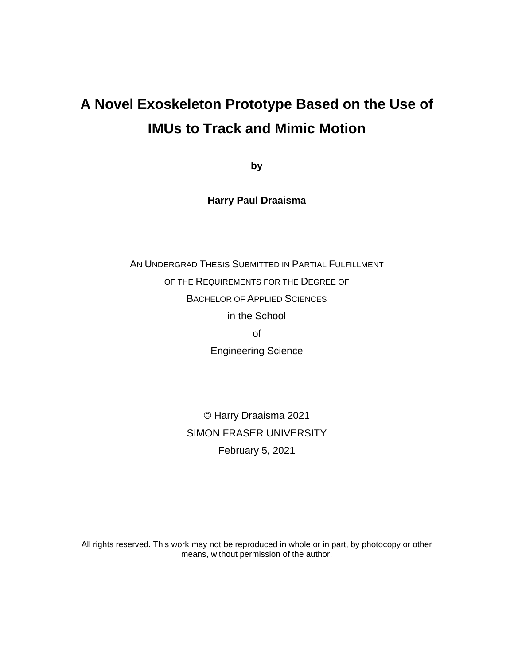# **A Novel Exoskeleton Prototype Based on the Use of IMUs to Track and Mimic Motion**

**by**

**Harry Paul Draaisma**

AN UNDERGRAD THESIS SUBMITTED IN PARTIAL FULFILLMENT OF THE REQUIREMENTS FOR THE DEGREE OF BACHELOR OF APPLIED SCIENCES in the School of Engineering Science

> © Harry Draaisma 2021 SIMON FRASER UNIVERSITY February 5, 2021

All rights reserved. This work may not be reproduced in whole or in part, by photocopy or other means, without permission of the author.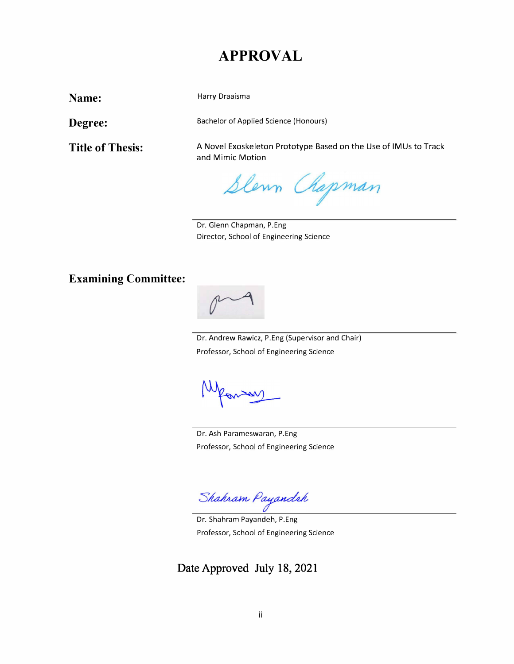### **APPROVAL**

**Name:** 

Harry Draaisma

**Degree:** 

**Title of Thesis:** 

Bachelor of Applied Science (Honours)

A Novel Exoskeleton Prototype Based on the Use of IMUs to Track and Mimic Motion

Slewn Chapman

Dr. Glenn Chapman, P.Eng Director, School of Engineering Science

### **Examining Committee:**



Dr. Andrew Rawicz, P.Eng (Supervisor and Chair) Professor, School of Engineering Science

man

Dr. Ash Parameswaran, P.Eng Professor, School of Engineering Science

Shahram Payandeh

Dr. Shahram Payandeh, P.Eng Professor, School of Engineering Science

**Date Approved July 18, 2021**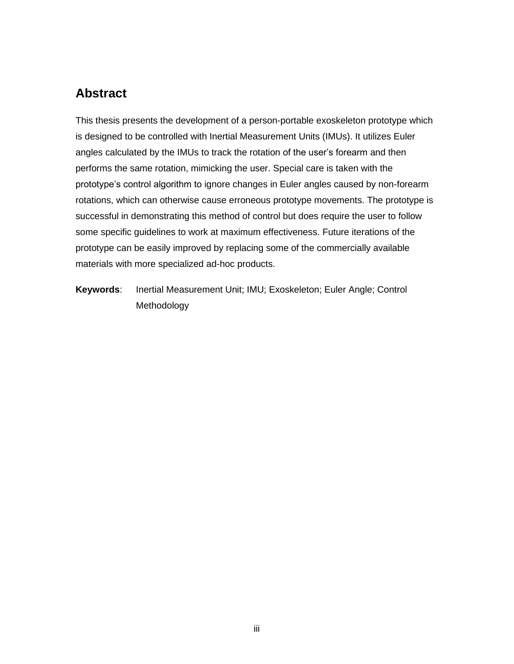### <span id="page-2-0"></span>**Abstract**

This thesis presents the development of a person-portable exoskeleton prototype which is designed to be controlled with Inertial Measurement Units (IMUs). It utilizes Euler angles calculated by the IMUs to track the rotation of the user's forearm and then performs the same rotation, mimicking the user. Special care is taken with the prototype's control algorithm to ignore changes in Euler angles caused by non-forearm rotations, which can otherwise cause erroneous prototype movements. The prototype is successful in demonstrating this method of control but does require the user to follow some specific guidelines to work at maximum effectiveness. Future iterations of the prototype can be easily improved by replacing some of the commercially available materials with more specialized ad-hoc products.

**Keywords**: Inertial Measurement Unit; IMU; Exoskeleton; Euler Angle; Control Methodology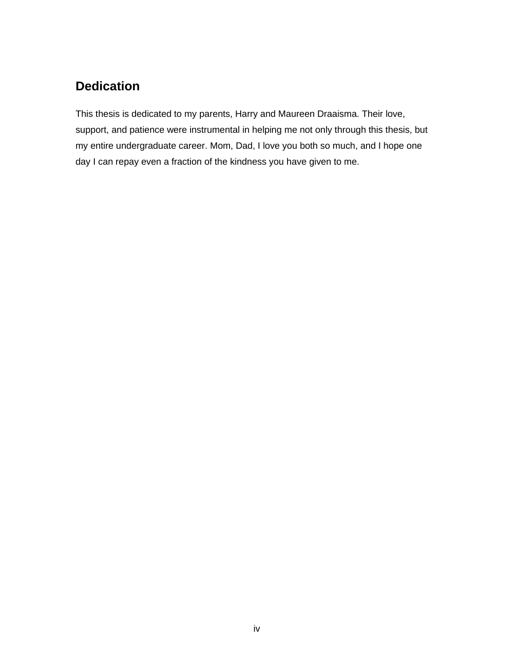## <span id="page-3-0"></span>**Dedication**

This thesis is dedicated to my parents, Harry and Maureen Draaisma. Their love, support, and patience were instrumental in helping me not only through this thesis, but my entire undergraduate career. Mom, Dad, I love you both so much, and I hope one day I can repay even a fraction of the kindness you have given to me.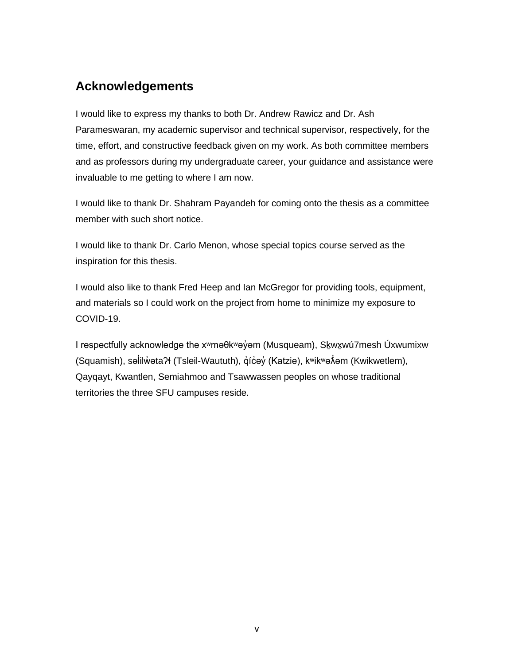### <span id="page-4-0"></span>**Acknowledgements**

I would like to express my thanks to both Dr. Andrew Rawicz and Dr. Ash Parameswaran, my academic supervisor and technical supervisor, respectively, for the time, effort, and constructive feedback given on my work. As both committee members and as professors during my undergraduate career, your guidance and assistance were invaluable to me getting to where I am now.

I would like to thank Dr. Shahram Payandeh for coming onto the thesis as a committee member with such short notice.

I would like to thank Dr. Carlo Menon, whose special topics course served as the inspiration for this thesis.

I would also like to thank Fred Heep and Ian McGregor for providing tools, equipment, and materials so I could work on the project from home to minimize my exposure to COVID-19.

I respectfully acknowledge the x<sup>w</sup>məθk<sup>w</sup>əγ̓ əm (Musqueam), Skʌwxwú7mesh Úxwumixw (Squamish), səİilẁətaʔɬ (Tsleil-Waututh), q̓ic̓əy̓ (Katzie), kʷikʷəʌ̓́əm (Kwikwetlem), ̓ Qayqayt, Kwantlen, Semiahmoo and Tsawwassen peoples on whose traditional territories the three SFU campuses reside.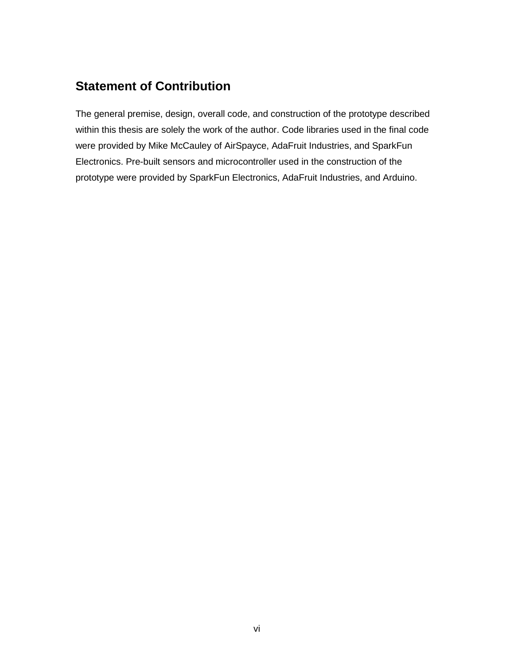### <span id="page-5-0"></span>**Statement of Contribution**

The general premise, design, overall code, and construction of the prototype described within this thesis are solely the work of the author. Code libraries used in the final code were provided by Mike McCauley of AirSpayce, AdaFruit Industries, and SparkFun Electronics. Pre-built sensors and microcontroller used in the construction of the prototype were provided by SparkFun Electronics, AdaFruit Industries, and Arduino.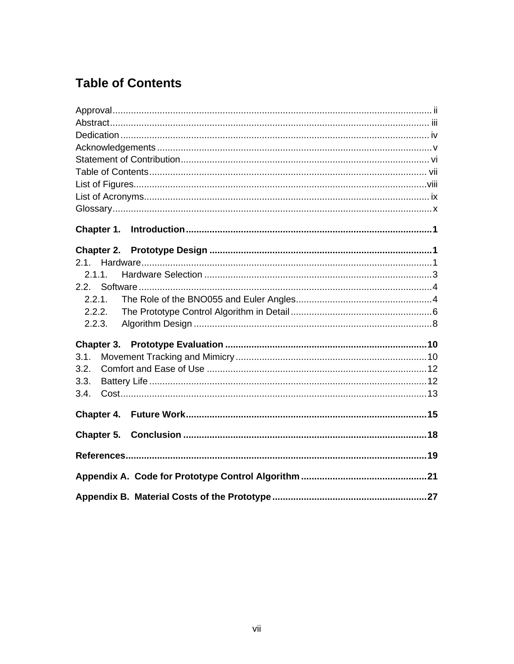## <span id="page-6-0"></span>**Table of Contents**

| 2.1.1. |
|--------|
|        |
| 2.2.1. |
| 2.2.2. |
| 2.2.3. |
|        |
| 3.1.   |
| 3.2.   |
| 3.3.   |
| 3.4.   |
|        |
|        |
|        |
|        |
|        |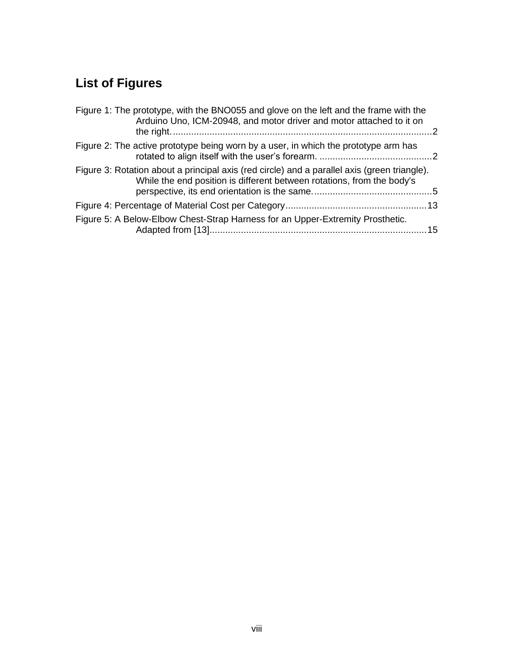# <span id="page-7-0"></span>**List of Figures**

| Figure 1: The prototype, with the BNO055 and glove on the left and the frame with the<br>Arduino Uno, ICM-20948, and motor driver and motor attached to it on          |  |
|------------------------------------------------------------------------------------------------------------------------------------------------------------------------|--|
| Figure 2: The active prototype being worn by a user, in which the prototype arm has                                                                                    |  |
| Figure 3: Rotation about a principal axis (red circle) and a parallel axis (green triangle).<br>While the end position is different between rotations, from the body's |  |
|                                                                                                                                                                        |  |
| Figure 5: A Below-Elbow Chest-Strap Harness for an Upper-Extremity Prosthetic.                                                                                         |  |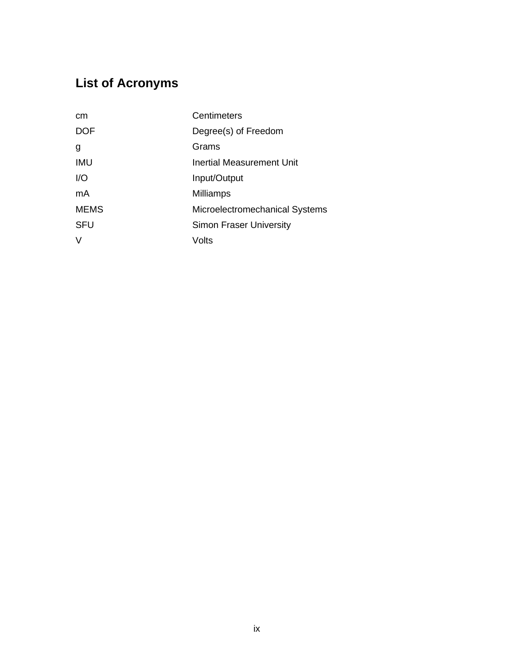# <span id="page-8-0"></span>**List of Acronyms**

| cm          | Centimeters                    |
|-------------|--------------------------------|
| <b>DOF</b>  | Degree(s) of Freedom           |
| g           | Grams                          |
| <b>IMU</b>  | Inertial Measurement Unit      |
| I/O         | Input/Output                   |
| mA          | <b>Milliamps</b>               |
| <b>MEMS</b> | Microelectromechanical Systems |
| <b>SFU</b>  | <b>Simon Fraser University</b> |
| V           | Volts                          |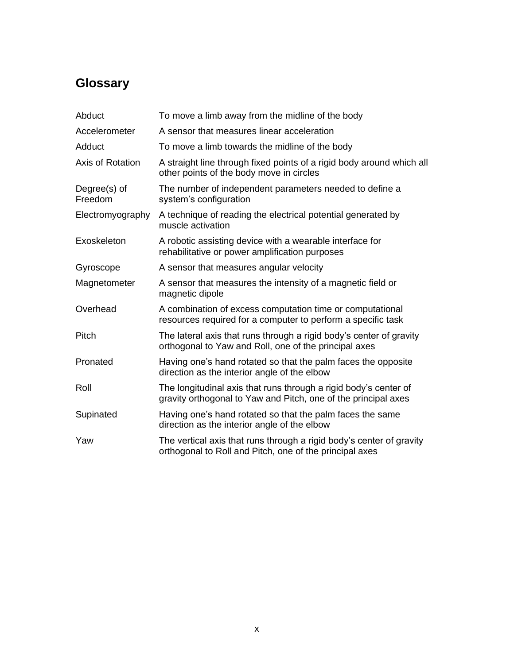## <span id="page-9-0"></span>**Glossary**

| Abduct                  | To move a limb away from the midline of the body                                                                                   |
|-------------------------|------------------------------------------------------------------------------------------------------------------------------------|
| Accelerometer           | A sensor that measures linear acceleration                                                                                         |
| Adduct                  | To move a limb towards the midline of the body                                                                                     |
| Axis of Rotation        | A straight line through fixed points of a rigid body around which all<br>other points of the body move in circles                  |
| Degree(s) of<br>Freedom | The number of independent parameters needed to define a<br>system's configuration                                                  |
| Electromyography        | A technique of reading the electrical potential generated by<br>muscle activation                                                  |
| Exoskeleton             | A robotic assisting device with a wearable interface for<br>rehabilitative or power amplification purposes                         |
| Gyroscope               | A sensor that measures angular velocity                                                                                            |
| Magnetometer            | A sensor that measures the intensity of a magnetic field or<br>magnetic dipole                                                     |
| Overhead                | A combination of excess computation time or computational<br>resources required for a computer to perform a specific task          |
| Pitch                   | The lateral axis that runs through a rigid body's center of gravity<br>orthogonal to Yaw and Roll, one of the principal axes       |
| Pronated                | Having one's hand rotated so that the palm faces the opposite<br>direction as the interior angle of the elbow                      |
| Roll                    | The longitudinal axis that runs through a rigid body's center of<br>gravity orthogonal to Yaw and Pitch, one of the principal axes |
| Supinated               | Having one's hand rotated so that the palm faces the same<br>direction as the interior angle of the elbow                          |
| Yaw                     | The vertical axis that runs through a rigid body's center of gravity<br>orthogonal to Roll and Pitch, one of the principal axes    |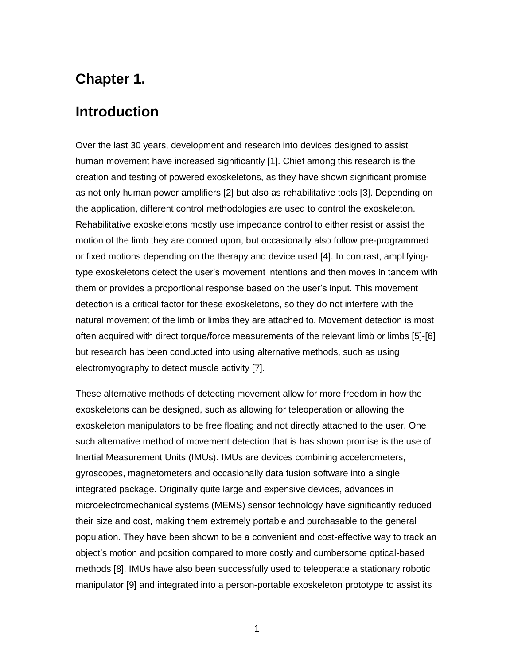## **Chapter 1.**

### <span id="page-10-0"></span>**Introduction**

Over the last 30 years, development and research into devices designed to assist human movement have increased significantly [1]. Chief among this research is the creation and testing of powered exoskeletons, as they have shown significant promise as not only human power amplifiers [2] but also as rehabilitative tools [3]. Depending on the application, different control methodologies are used to control the exoskeleton. Rehabilitative exoskeletons mostly use impedance control to either resist or assist the motion of the limb they are donned upon, but occasionally also follow pre-programmed or fixed motions depending on the therapy and device used [4]. In contrast, amplifyingtype exoskeletons detect the user's movement intentions and then moves in tandem with them or provides a proportional response based on the user's input. This movement detection is a critical factor for these exoskeletons, so they do not interfere with the natural movement of the limb or limbs they are attached to. Movement detection is most often acquired with direct torque/force measurements of the relevant limb or limbs [5]-[6] but research has been conducted into using alternative methods, such as using electromyography to detect muscle activity [7].

These alternative methods of detecting movement allow for more freedom in how the exoskeletons can be designed, such as allowing for teleoperation or allowing the exoskeleton manipulators to be free floating and not directly attached to the user. One such alternative method of movement detection that is has shown promise is the use of Inertial Measurement Units (IMUs). IMUs are devices combining accelerometers, gyroscopes, magnetometers and occasionally data fusion software into a single integrated package. Originally quite large and expensive devices, advances in microelectromechanical systems (MEMS) sensor technology have significantly reduced their size and cost, making them extremely portable and purchasable to the general population. They have been shown to be a convenient and cost-effective way to track an object's motion and position compared to more costly and cumbersome optical-based methods [8]. IMUs have also been successfully used to teleoperate a stationary robotic manipulator [9] and integrated into a person-portable exoskeleton prototype to assist its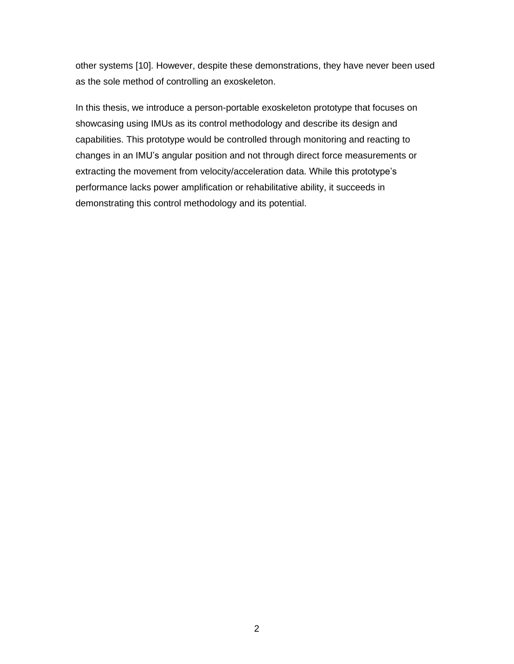other systems [10]. However, despite these demonstrations, they have never been used as the sole method of controlling an exoskeleton.

In this thesis, we introduce a person-portable exoskeleton prototype that focuses on showcasing using IMUs as its control methodology and describe its design and capabilities. This prototype would be controlled through monitoring and reacting to changes in an IMU's angular position and not through direct force measurements or extracting the movement from velocity/acceleration data. While this prototype's performance lacks power amplification or rehabilitative ability, it succeeds in demonstrating this control methodology and its potential.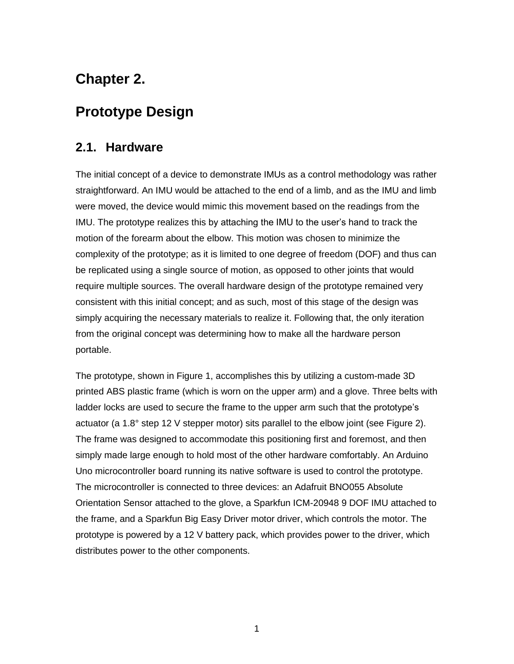## **Chapter 2.**

## <span id="page-12-0"></span>**Prototype Design**

### <span id="page-12-1"></span>**2.1. Hardware**

The initial concept of a device to demonstrate IMUs as a control methodology was rather straightforward. An IMU would be attached to the end of a limb, and as the IMU and limb were moved, the device would mimic this movement based on the readings from the IMU. The prototype realizes this by attaching the IMU to the user's hand to track the motion of the forearm about the elbow. This motion was chosen to minimize the complexity of the prototype; as it is limited to one degree of freedom (DOF) and thus can be replicated using a single source of motion, as opposed to other joints that would require multiple sources. The overall hardware design of the prototype remained very consistent with this initial concept; and as such, most of this stage of the design was simply acquiring the necessary materials to realize it. Following that, the only iteration from the original concept was determining how to make all the hardware person portable.

The prototype, shown in Figure 1, accomplishes this by utilizing a custom-made 3D printed ABS plastic frame (which is worn on the upper arm) and a glove. Three belts with ladder locks are used to secure the frame to the upper arm such that the prototype's actuator (a 1.8° step 12 V stepper motor) sits parallel to the elbow joint (see Figure 2). The frame was designed to accommodate this positioning first and foremost, and then simply made large enough to hold most of the other hardware comfortably. An Arduino Uno microcontroller board running its native software is used to control the prototype. The microcontroller is connected to three devices: an Adafruit BNO055 Absolute Orientation Sensor attached to the glove, a Sparkfun ICM-20948 9 DOF IMU attached to the frame, and a Sparkfun Big Easy Driver motor driver, which controls the motor. The prototype is powered by a 12 V battery pack, which provides power to the driver, which distributes power to the other components.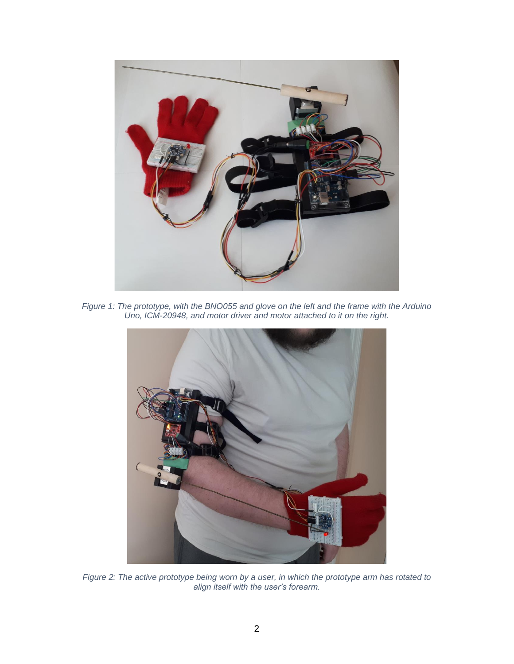

*Figure 1: The prototype, with the BNO055 and glove on the left and the frame with the Arduino Uno, ICM-20948, and motor driver and motor attached to it on the right.*



*Figure 2: The active prototype being worn by a user, in which the prototype arm has rotated to align itself with the user's forearm.*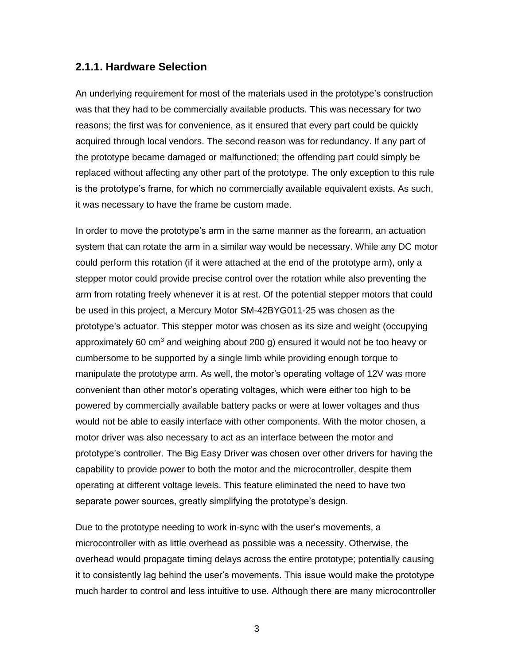#### <span id="page-14-0"></span>**2.1.1. Hardware Selection**

An underlying requirement for most of the materials used in the prototype's construction was that they had to be commercially available products. This was necessary for two reasons; the first was for convenience, as it ensured that every part could be quickly acquired through local vendors. The second reason was for redundancy. If any part of the prototype became damaged or malfunctioned; the offending part could simply be replaced without affecting any other part of the prototype. The only exception to this rule is the prototype's frame, for which no commercially available equivalent exists. As such, it was necessary to have the frame be custom made.

In order to move the prototype's arm in the same manner as the forearm, an actuation system that can rotate the arm in a similar way would be necessary. While any DC motor could perform this rotation (if it were attached at the end of the prototype arm), only a stepper motor could provide precise control over the rotation while also preventing the arm from rotating freely whenever it is at rest. Of the potential stepper motors that could be used in this project, a Mercury Motor SM-42BYG011-25 was chosen as the prototype's actuator. This stepper motor was chosen as its size and weight (occupying approximately 60 cm<sup>3</sup> and weighing about 200 g) ensured it would not be too heavy or cumbersome to be supported by a single limb while providing enough torque to manipulate the prototype arm. As well, the motor's operating voltage of 12V was more convenient than other motor's operating voltages, which were either too high to be powered by commercially available battery packs or were at lower voltages and thus would not be able to easily interface with other components. With the motor chosen, a motor driver was also necessary to act as an interface between the motor and prototype's controller. The Big Easy Driver was chosen over other drivers for having the capability to provide power to both the motor and the microcontroller, despite them operating at different voltage levels. This feature eliminated the need to have two separate power sources, greatly simplifying the prototype's design.

Due to the prototype needing to work in-sync with the user's movements, a microcontroller with as little overhead as possible was a necessity. Otherwise, the overhead would propagate timing delays across the entire prototype; potentially causing it to consistently lag behind the user's movements. This issue would make the prototype much harder to control and less intuitive to use. Although there are many microcontroller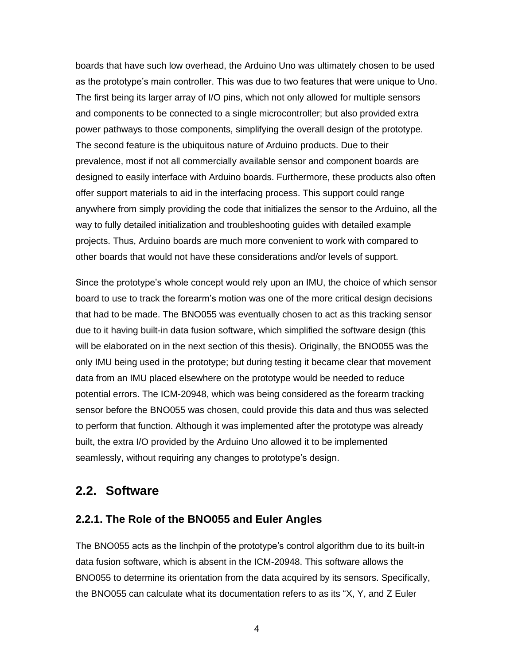boards that have such low overhead, the Arduino Uno was ultimately chosen to be used as the prototype's main controller. This was due to two features that were unique to Uno. The first being its larger array of I/O pins, which not only allowed for multiple sensors and components to be connected to a single microcontroller; but also provided extra power pathways to those components, simplifying the overall design of the prototype. The second feature is the ubiquitous nature of Arduino products. Due to their prevalence, most if not all commercially available sensor and component boards are designed to easily interface with Arduino boards. Furthermore, these products also often offer support materials to aid in the interfacing process. This support could range anywhere from simply providing the code that initializes the sensor to the Arduino, all the way to fully detailed initialization and troubleshooting guides with detailed example projects. Thus, Arduino boards are much more convenient to work with compared to other boards that would not have these considerations and/or levels of support.

Since the prototype's whole concept would rely upon an IMU, the choice of which sensor board to use to track the forearm's motion was one of the more critical design decisions that had to be made. The BNO055 was eventually chosen to act as this tracking sensor due to it having built-in data fusion software, which simplified the software design (this will be elaborated on in the next section of this thesis). Originally, the BNO055 was the only IMU being used in the prototype; but during testing it became clear that movement data from an IMU placed elsewhere on the prototype would be needed to reduce potential errors. The ICM-20948, which was being considered as the forearm tracking sensor before the BNO055 was chosen, could provide this data and thus was selected to perform that function. Although it was implemented after the prototype was already built, the extra I/O provided by the Arduino Uno allowed it to be implemented seamlessly, without requiring any changes to prototype's design.

#### <span id="page-15-0"></span>**2.2. Software**

#### <span id="page-15-1"></span>**2.2.1. The Role of the BNO055 and Euler Angles**

The BNO055 acts as the linchpin of the prototype's control algorithm due to its built-in data fusion software, which is absent in the ICM-20948. This software allows the BNO055 to determine its orientation from the data acquired by its sensors. Specifically, the BNO055 can calculate what its documentation refers to as its "X, Y, and Z Euler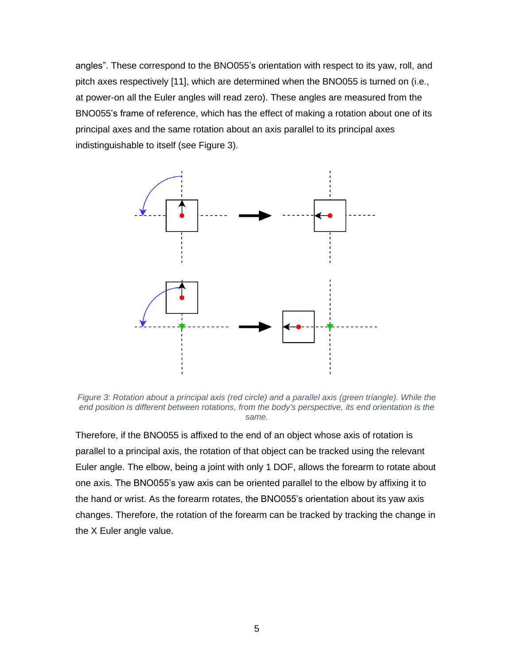angles". These correspond to the BNO055's orientation with respect to its yaw, roll, and pitch axes respectively [11], which are determined when the BNO055 is turned on (i.e., at power-on all the Euler angles will read zero). These angles are measured from the BNO055's frame of reference, which has the effect of making a rotation about one of its principal axes and the same rotation about an axis parallel to its principal axes indistinguishable to itself (see Figure 3).



*Figure 3: Rotation about a principal axis (red circle) and a parallel axis (green triangle). While the end position is different between rotations, from the body's perspective, its end orientation is the same.*

Therefore, if the BNO055 is affixed to the end of an object whose axis of rotation is parallel to a principal axis, the rotation of that object can be tracked using the relevant Euler angle. The elbow, being a joint with only 1 DOF, allows the forearm to rotate about one axis. The BNO055's yaw axis can be oriented parallel to the elbow by affixing it to the hand or wrist. As the forearm rotates, the BNO055's orientation about its yaw axis changes. Therefore, the rotation of the forearm can be tracked by tracking the change in the X Euler angle value.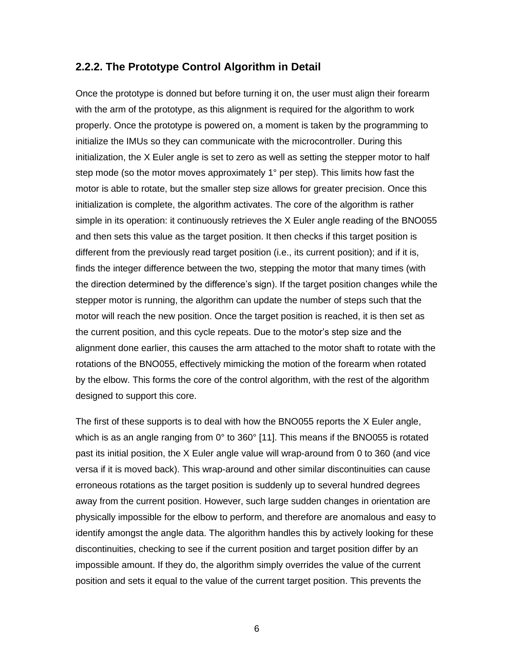#### <span id="page-17-0"></span>**2.2.2. The Prototype Control Algorithm in Detail**

Once the prototype is donned but before turning it on, the user must align their forearm with the arm of the prototype, as this alignment is required for the algorithm to work properly. Once the prototype is powered on, a moment is taken by the programming to initialize the IMUs so they can communicate with the microcontroller. During this initialization, the X Euler angle is set to zero as well as setting the stepper motor to half step mode (so the motor moves approximately 1° per step). This limits how fast the motor is able to rotate, but the smaller step size allows for greater precision. Once this initialization is complete, the algorithm activates. The core of the algorithm is rather simple in its operation: it continuously retrieves the X Euler angle reading of the BNO055 and then sets this value as the target position. It then checks if this target position is different from the previously read target position (i.e., its current position); and if it is, finds the integer difference between the two, stepping the motor that many times (with the direction determined by the difference's sign). If the target position changes while the stepper motor is running, the algorithm can update the number of steps such that the motor will reach the new position. Once the target position is reached, it is then set as the current position, and this cycle repeats. Due to the motor's step size and the alignment done earlier, this causes the arm attached to the motor shaft to rotate with the rotations of the BNO055, effectively mimicking the motion of the forearm when rotated by the elbow. This forms the core of the control algorithm, with the rest of the algorithm designed to support this core.

The first of these supports is to deal with how the BNO055 reports the X Euler angle, which is as an angle ranging from 0° to 360° [11]. This means if the BNO055 is rotated past its initial position, the X Euler angle value will wrap-around from 0 to 360 (and vice versa if it is moved back). This wrap-around and other similar discontinuities can cause erroneous rotations as the target position is suddenly up to several hundred degrees away from the current position. However, such large sudden changes in orientation are physically impossible for the elbow to perform, and therefore are anomalous and easy to identify amongst the angle data. The algorithm handles this by actively looking for these discontinuities, checking to see if the current position and target position differ by an impossible amount. If they do, the algorithm simply overrides the value of the current position and sets it equal to the value of the current target position. This prevents the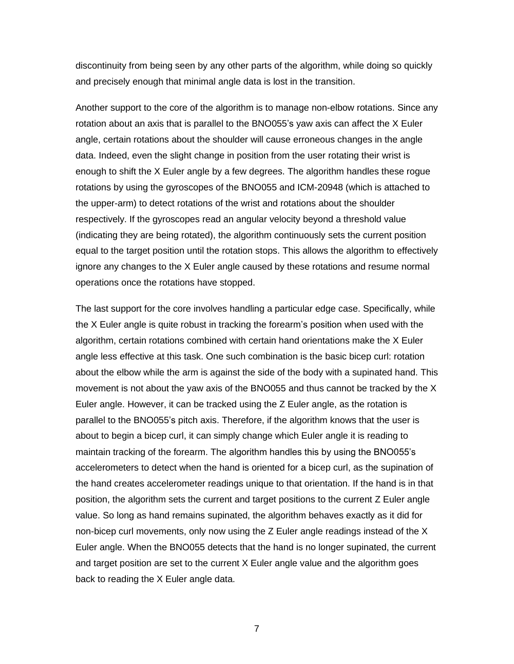discontinuity from being seen by any other parts of the algorithm, while doing so quickly and precisely enough that minimal angle data is lost in the transition.

Another support to the core of the algorithm is to manage non-elbow rotations. Since any rotation about an axis that is parallel to the BNO055's yaw axis can affect the X Euler angle, certain rotations about the shoulder will cause erroneous changes in the angle data. Indeed, even the slight change in position from the user rotating their wrist is enough to shift the X Euler angle by a few degrees. The algorithm handles these rogue rotations by using the gyroscopes of the BNO055 and ICM-20948 (which is attached to the upper-arm) to detect rotations of the wrist and rotations about the shoulder respectively. If the gyroscopes read an angular velocity beyond a threshold value (indicating they are being rotated), the algorithm continuously sets the current position equal to the target position until the rotation stops. This allows the algorithm to effectively ignore any changes to the X Euler angle caused by these rotations and resume normal operations once the rotations have stopped.

The last support for the core involves handling a particular edge case. Specifically, while the X Euler angle is quite robust in tracking the forearm's position when used with the algorithm, certain rotations combined with certain hand orientations make the X Euler angle less effective at this task. One such combination is the basic bicep curl: rotation about the elbow while the arm is against the side of the body with a supinated hand. This movement is not about the yaw axis of the BNO055 and thus cannot be tracked by the X Euler angle. However, it can be tracked using the Z Euler angle, as the rotation is parallel to the BNO055's pitch axis. Therefore, if the algorithm knows that the user is about to begin a bicep curl, it can simply change which Euler angle it is reading to maintain tracking of the forearm. The algorithm handles this by using the BNO055's accelerometers to detect when the hand is oriented for a bicep curl, as the supination of the hand creates accelerometer readings unique to that orientation. If the hand is in that position, the algorithm sets the current and target positions to the current Z Euler angle value. So long as hand remains supinated, the algorithm behaves exactly as it did for non-bicep curl movements, only now using the Z Euler angle readings instead of the X Euler angle. When the BNO055 detects that the hand is no longer supinated, the current and target position are set to the current X Euler angle value and the algorithm goes back to reading the X Euler angle data.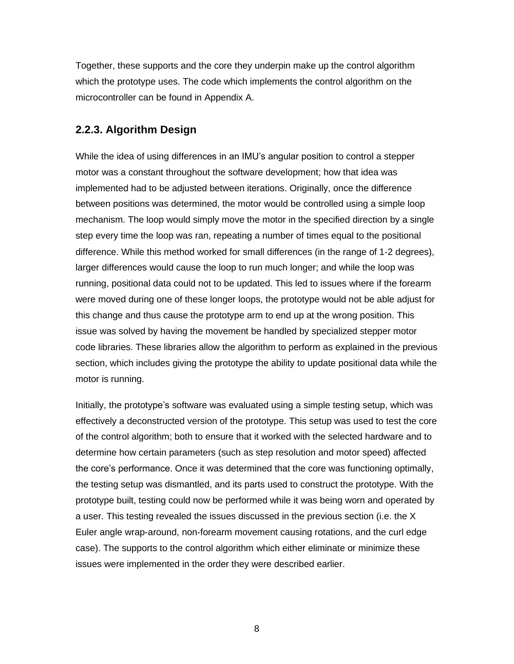Together, these supports and the core they underpin make up the control algorithm which the prototype uses. The code which implements the control algorithm on the microcontroller can be found in Appendix A.

#### <span id="page-19-0"></span>**2.2.3. Algorithm Design**

While the idea of using differences in an IMU's angular position to control a stepper motor was a constant throughout the software development; how that idea was implemented had to be adjusted between iterations. Originally, once the difference between positions was determined, the motor would be controlled using a simple loop mechanism. The loop would simply move the motor in the specified direction by a single step every time the loop was ran, repeating a number of times equal to the positional difference. While this method worked for small differences (in the range of 1-2 degrees), larger differences would cause the loop to run much longer; and while the loop was running, positional data could not to be updated. This led to issues where if the forearm were moved during one of these longer loops, the prototype would not be able adjust for this change and thus cause the prototype arm to end up at the wrong position. This issue was solved by having the movement be handled by specialized stepper motor code libraries. These libraries allow the algorithm to perform as explained in the previous section, which includes giving the prototype the ability to update positional data while the motor is running.

Initially, the prototype's software was evaluated using a simple testing setup, which was effectively a deconstructed version of the prototype. This setup was used to test the core of the control algorithm; both to ensure that it worked with the selected hardware and to determine how certain parameters (such as step resolution and motor speed) affected the core's performance. Once it was determined that the core was functioning optimally, the testing setup was dismantled, and its parts used to construct the prototype. With the prototype built, testing could now be performed while it was being worn and operated by a user. This testing revealed the issues discussed in the previous section (i.e. the X Euler angle wrap-around, non-forearm movement causing rotations, and the curl edge case). The supports to the control algorithm which either eliminate or minimize these issues were implemented in the order they were described earlier.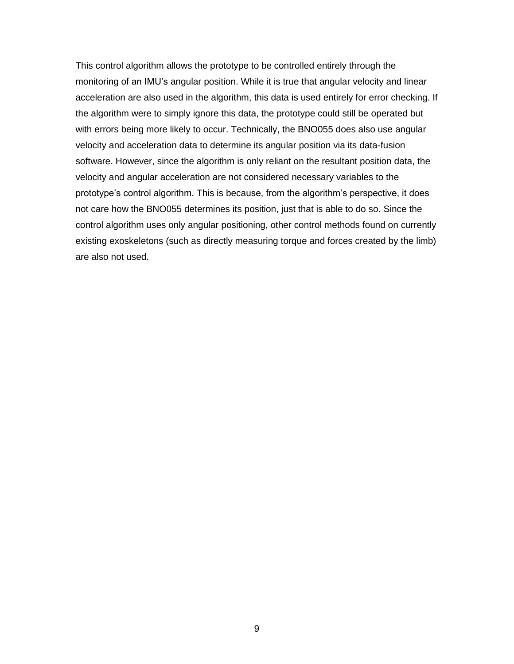This control algorithm allows the prototype to be controlled entirely through the monitoring of an IMU's angular position. While it is true that angular velocity and linear acceleration are also used in the algorithm, this data is used entirely for error checking. If the algorithm were to simply ignore this data, the prototype could still be operated but with errors being more likely to occur. Technically, the BNO055 does also use angular velocity and acceleration data to determine its angular position via its data-fusion software. However, since the algorithm is only reliant on the resultant position data, the velocity and angular acceleration are not considered necessary variables to the prototype's control algorithm. This is because, from the algorithm's perspective, it does not care how the BNO055 determines its position, just that is able to do so. Since the control algorithm uses only angular positioning, other control methods found on currently existing exoskeletons (such as directly measuring torque and forces created by the limb) are also not used.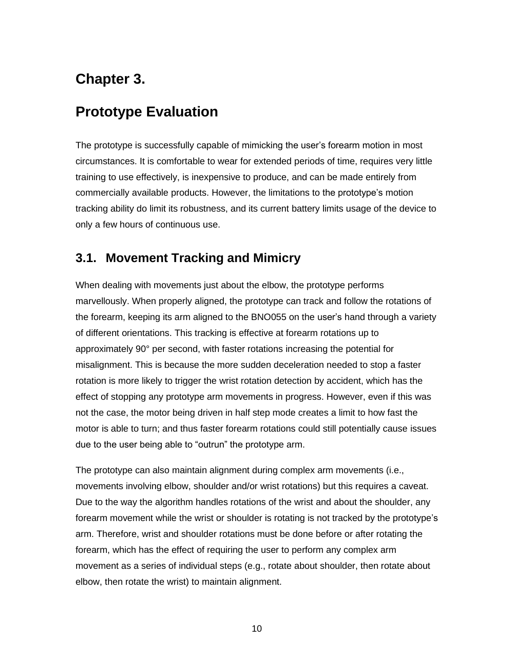## **Chapter 3.**

## <span id="page-21-0"></span>**Prototype Evaluation**

The prototype is successfully capable of mimicking the user's forearm motion in most circumstances. It is comfortable to wear for extended periods of time, requires very little training to use effectively, is inexpensive to produce, and can be made entirely from commercially available products. However, the limitations to the prototype's motion tracking ability do limit its robustness, and its current battery limits usage of the device to only a few hours of continuous use.

### <span id="page-21-1"></span>**3.1. Movement Tracking and Mimicry**

When dealing with movements just about the elbow, the prototype performs marvellously. When properly aligned, the prototype can track and follow the rotations of the forearm, keeping its arm aligned to the BNO055 on the user's hand through a variety of different orientations. This tracking is effective at forearm rotations up to approximately 90° per second, with faster rotations increasing the potential for misalignment. This is because the more sudden deceleration needed to stop a faster rotation is more likely to trigger the wrist rotation detection by accident, which has the effect of stopping any prototype arm movements in progress. However, even if this was not the case, the motor being driven in half step mode creates a limit to how fast the motor is able to turn; and thus faster forearm rotations could still potentially cause issues due to the user being able to "outrun" the prototype arm.

The prototype can also maintain alignment during complex arm movements (i.e., movements involving elbow, shoulder and/or wrist rotations) but this requires a caveat. Due to the way the algorithm handles rotations of the wrist and about the shoulder, any forearm movement while the wrist or shoulder is rotating is not tracked by the prototype's arm. Therefore, wrist and shoulder rotations must be done before or after rotating the forearm, which has the effect of requiring the user to perform any complex arm movement as a series of individual steps (e.g., rotate about shoulder, then rotate about elbow, then rotate the wrist) to maintain alignment.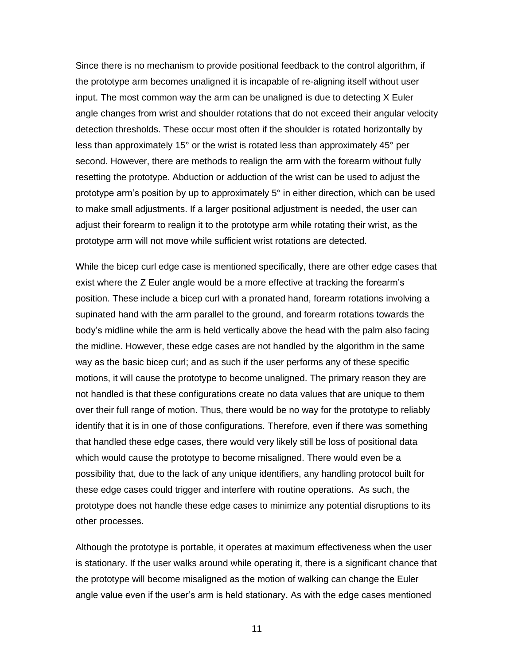Since there is no mechanism to provide positional feedback to the control algorithm, if the prototype arm becomes unaligned it is incapable of re-aligning itself without user input. The most common way the arm can be unaligned is due to detecting X Euler angle changes from wrist and shoulder rotations that do not exceed their angular velocity detection thresholds. These occur most often if the shoulder is rotated horizontally by less than approximately 15° or the wrist is rotated less than approximately 45° per second. However, there are methods to realign the arm with the forearm without fully resetting the prototype. Abduction or adduction of the wrist can be used to adjust the prototype arm's position by up to approximately 5° in either direction, which can be used to make small adjustments. If a larger positional adjustment is needed, the user can adjust their forearm to realign it to the prototype arm while rotating their wrist, as the prototype arm will not move while sufficient wrist rotations are detected.

While the bicep curl edge case is mentioned specifically, there are other edge cases that exist where the Z Euler angle would be a more effective at tracking the forearm's position. These include a bicep curl with a pronated hand, forearm rotations involving a supinated hand with the arm parallel to the ground, and forearm rotations towards the body's midline while the arm is held vertically above the head with the palm also facing the midline. However, these edge cases are not handled by the algorithm in the same way as the basic bicep curl; and as such if the user performs any of these specific motions, it will cause the prototype to become unaligned. The primary reason they are not handled is that these configurations create no data values that are unique to them over their full range of motion. Thus, there would be no way for the prototype to reliably identify that it is in one of those configurations. Therefore, even if there was something that handled these edge cases, there would very likely still be loss of positional data which would cause the prototype to become misaligned. There would even be a possibility that, due to the lack of any unique identifiers, any handling protocol built for these edge cases could trigger and interfere with routine operations. As such, the prototype does not handle these edge cases to minimize any potential disruptions to its other processes.

Although the prototype is portable, it operates at maximum effectiveness when the user is stationary. If the user walks around while operating it, there is a significant chance that the prototype will become misaligned as the motion of walking can change the Euler angle value even if the user's arm is held stationary. As with the edge cases mentioned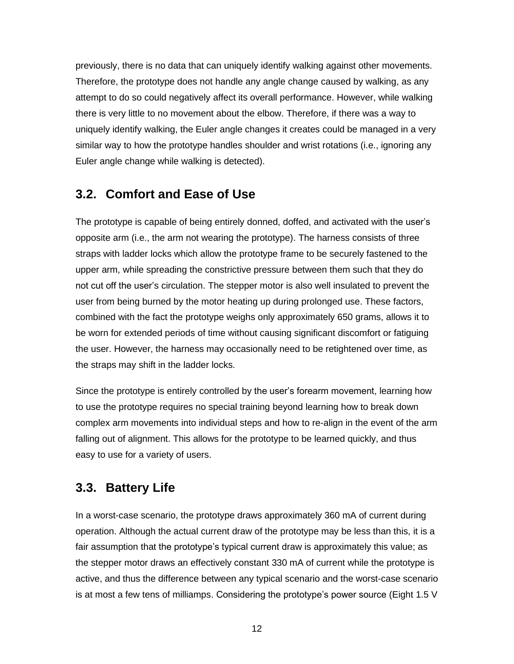previously, there is no data that can uniquely identify walking against other movements. Therefore, the prototype does not handle any angle change caused by walking, as any attempt to do so could negatively affect its overall performance. However, while walking there is very little to no movement about the elbow. Therefore, if there was a way to uniquely identify walking, the Euler angle changes it creates could be managed in a very similar way to how the prototype handles shoulder and wrist rotations (i.e., ignoring any Euler angle change while walking is detected).

### <span id="page-23-0"></span>**3.2. Comfort and Ease of Use**

The prototype is capable of being entirely donned, doffed, and activated with the user's opposite arm (i.e., the arm not wearing the prototype). The harness consists of three straps with ladder locks which allow the prototype frame to be securely fastened to the upper arm, while spreading the constrictive pressure between them such that they do not cut off the user's circulation. The stepper motor is also well insulated to prevent the user from being burned by the motor heating up during prolonged use. These factors, combined with the fact the prototype weighs only approximately 650 grams, allows it to be worn for extended periods of time without causing significant discomfort or fatiguing the user. However, the harness may occasionally need to be retightened over time, as the straps may shift in the ladder locks.

Since the prototype is entirely controlled by the user's forearm movement, learning how to use the prototype requires no special training beyond learning how to break down complex arm movements into individual steps and how to re-align in the event of the arm falling out of alignment. This allows for the prototype to be learned quickly, and thus easy to use for a variety of users.

### <span id="page-23-1"></span>**3.3. Battery Life**

In a worst-case scenario, the prototype draws approximately 360 mA of current during operation. Although the actual current draw of the prototype may be less than this, it is a fair assumption that the prototype's typical current draw is approximately this value; as the stepper motor draws an effectively constant 330 mA of current while the prototype is active, and thus the difference between any typical scenario and the worst-case scenario is at most a few tens of milliamps. Considering the prototype's power source (Eight 1.5 V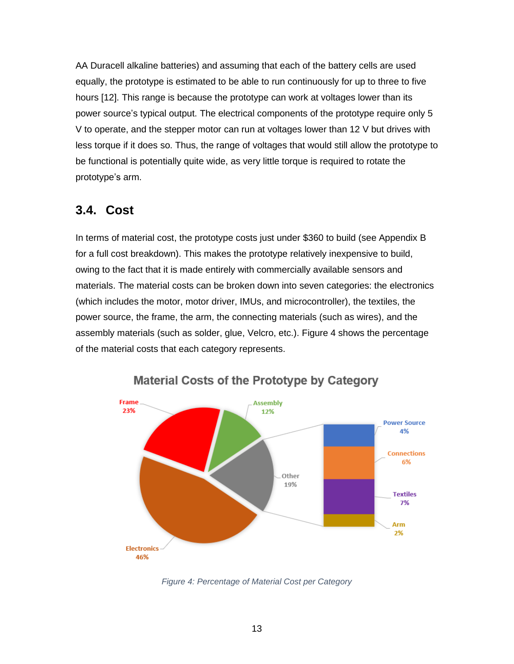AA Duracell alkaline batteries) and assuming that each of the battery cells are used equally, the prototype is estimated to be able to run continuously for up to three to five hours [12]. This range is because the prototype can work at voltages lower than its power source's typical output. The electrical components of the prototype require only 5 V to operate, and the stepper motor can run at voltages lower than 12 V but drives with less torque if it does so. Thus, the range of voltages that would still allow the prototype to be functional is potentially quite wide, as very little torque is required to rotate the prototype's arm.

### <span id="page-24-0"></span>**3.4. Cost**

In terms of material cost, the prototype costs just under \$360 to build (see Appendix B for a full cost breakdown). This makes the prototype relatively inexpensive to build, owing to the fact that it is made entirely with commercially available sensors and materials. The material costs can be broken down into seven categories: the electronics (which includes the motor, motor driver, IMUs, and microcontroller), the textiles, the power source, the frame, the arm, the connecting materials (such as wires), and the assembly materials (such as solder, glue, Velcro, etc.). Figure 4 shows the percentage of the material costs that each category represents.



**Material Costs of the Prototype by Category** 

*Figure 4: Percentage of Material Cost per Category*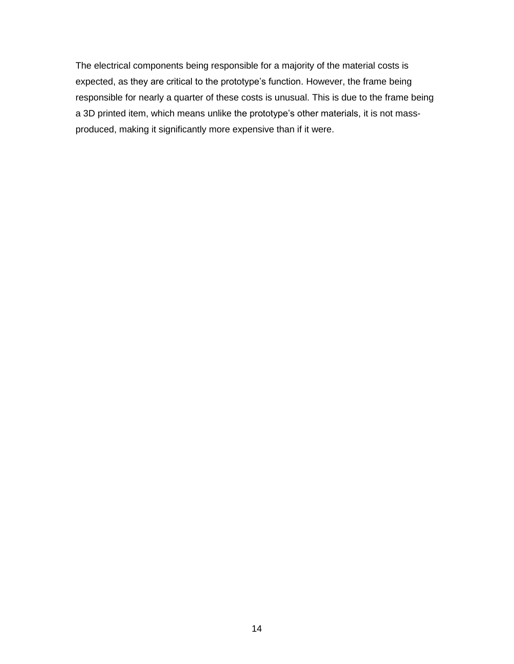The electrical components being responsible for a majority of the material costs is expected, as they are critical to the prototype's function. However, the frame being responsible for nearly a quarter of these costs is unusual. This is due to the frame being a 3D printed item, which means unlike the prototype's other materials, it is not massproduced, making it significantly more expensive than if it were.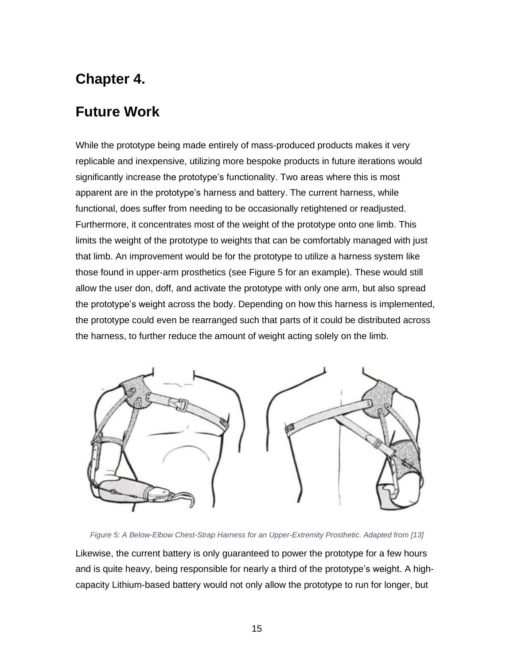## **Chapter 4.**

## <span id="page-26-0"></span>**Future Work**

While the prototype being made entirely of mass-produced products makes it very replicable and inexpensive, utilizing more bespoke products in future iterations would significantly increase the prototype's functionality. Two areas where this is most apparent are in the prototype's harness and battery. The current harness, while functional, does suffer from needing to be occasionally retightened or readjusted. Furthermore, it concentrates most of the weight of the prototype onto one limb. This limits the weight of the prototype to weights that can be comfortably managed with just that limb. An improvement would be for the prototype to utilize a harness system like those found in upper-arm prosthetics (see Figure 5 for an example). These would still allow the user don, doff, and activate the prototype with only one arm, but also spread the prototype's weight across the body. Depending on how this harness is implemented, the prototype could even be rearranged such that parts of it could be distributed across the harness, to further reduce the amount of weight acting solely on the limb.



#### *Figure 5: A Below-Elbow Chest-Strap Harness for an Upper-Extremity Prosthetic. Adapted from [13]*

Likewise, the current battery is only guaranteed to power the prototype for a few hours and is quite heavy, being responsible for nearly a third of the prototype's weight. A highcapacity Lithium-based battery would not only allow the prototype to run for longer, but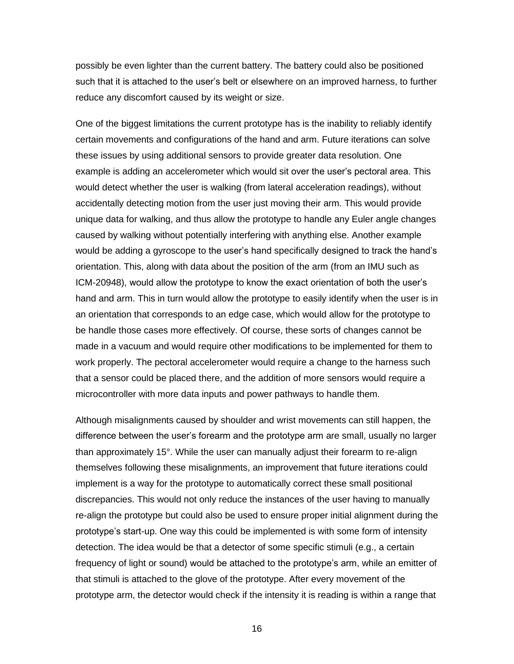possibly be even lighter than the current battery. The battery could also be positioned such that it is attached to the user's belt or elsewhere on an improved harness, to further reduce any discomfort caused by its weight or size.

One of the biggest limitations the current prototype has is the inability to reliably identify certain movements and configurations of the hand and arm. Future iterations can solve these issues by using additional sensors to provide greater data resolution. One example is adding an accelerometer which would sit over the user's pectoral area. This would detect whether the user is walking (from lateral acceleration readings), without accidentally detecting motion from the user just moving their arm. This would provide unique data for walking, and thus allow the prototype to handle any Euler angle changes caused by walking without potentially interfering with anything else. Another example would be adding a gyroscope to the user's hand specifically designed to track the hand's orientation. This, along with data about the position of the arm (from an IMU such as ICM-20948), would allow the prototype to know the exact orientation of both the user's hand and arm. This in turn would allow the prototype to easily identify when the user is in an orientation that corresponds to an edge case, which would allow for the prototype to be handle those cases more effectively. Of course, these sorts of changes cannot be made in a vacuum and would require other modifications to be implemented for them to work properly. The pectoral accelerometer would require a change to the harness such that a sensor could be placed there, and the addition of more sensors would require a microcontroller with more data inputs and power pathways to handle them.

Although misalignments caused by shoulder and wrist movements can still happen, the difference between the user's forearm and the prototype arm are small, usually no larger than approximately 15°. While the user can manually adjust their forearm to re-align themselves following these misalignments, an improvement that future iterations could implement is a way for the prototype to automatically correct these small positional discrepancies. This would not only reduce the instances of the user having to manually re-align the prototype but could also be used to ensure proper initial alignment during the prototype's start-up. One way this could be implemented is with some form of intensity detection. The idea would be that a detector of some specific stimuli (e.g., a certain frequency of light or sound) would be attached to the prototype's arm, while an emitter of that stimuli is attached to the glove of the prototype. After every movement of the prototype arm, the detector would check if the intensity it is reading is within a range that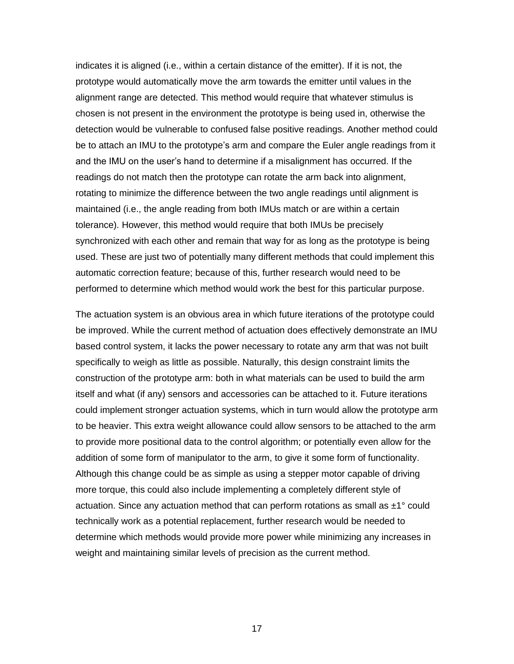indicates it is aligned (i.e., within a certain distance of the emitter). If it is not, the prototype would automatically move the arm towards the emitter until values in the alignment range are detected. This method would require that whatever stimulus is chosen is not present in the environment the prototype is being used in, otherwise the detection would be vulnerable to confused false positive readings. Another method could be to attach an IMU to the prototype's arm and compare the Euler angle readings from it and the IMU on the user's hand to determine if a misalignment has occurred. If the readings do not match then the prototype can rotate the arm back into alignment, rotating to minimize the difference between the two angle readings until alignment is maintained (i.e., the angle reading from both IMUs match or are within a certain tolerance). However, this method would require that both IMUs be precisely synchronized with each other and remain that way for as long as the prototype is being used. These are just two of potentially many different methods that could implement this automatic correction feature; because of this, further research would need to be performed to determine which method would work the best for this particular purpose.

The actuation system is an obvious area in which future iterations of the prototype could be improved. While the current method of actuation does effectively demonstrate an IMU based control system, it lacks the power necessary to rotate any arm that was not built specifically to weigh as little as possible. Naturally, this design constraint limits the construction of the prototype arm: both in what materials can be used to build the arm itself and what (if any) sensors and accessories can be attached to it. Future iterations could implement stronger actuation systems, which in turn would allow the prototype arm to be heavier. This extra weight allowance could allow sensors to be attached to the arm to provide more positional data to the control algorithm; or potentially even allow for the addition of some form of manipulator to the arm, to give it some form of functionality. Although this change could be as simple as using a stepper motor capable of driving more torque, this could also include implementing a completely different style of actuation. Since any actuation method that can perform rotations as small as  $\pm 1^{\circ}$  could technically work as a potential replacement, further research would be needed to determine which methods would provide more power while minimizing any increases in weight and maintaining similar levels of precision as the current method.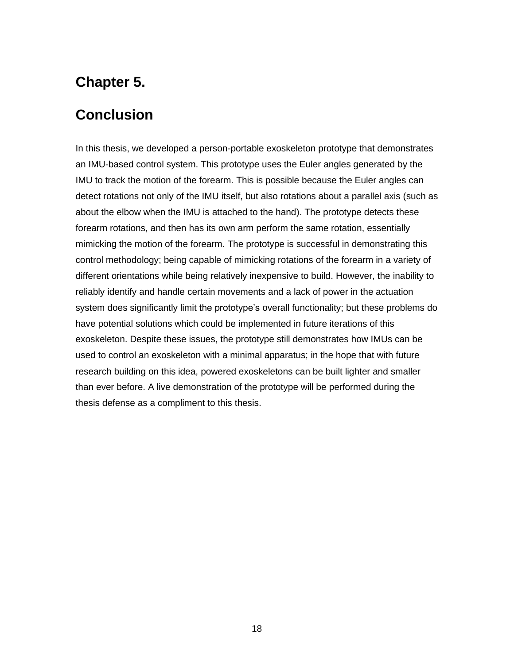## **Chapter 5.**

### <span id="page-29-0"></span>**Conclusion**

In this thesis, we developed a person-portable exoskeleton prototype that demonstrates an IMU-based control system. This prototype uses the Euler angles generated by the IMU to track the motion of the forearm. This is possible because the Euler angles can detect rotations not only of the IMU itself, but also rotations about a parallel axis (such as about the elbow when the IMU is attached to the hand). The prototype detects these forearm rotations, and then has its own arm perform the same rotation, essentially mimicking the motion of the forearm. The prototype is successful in demonstrating this control methodology; being capable of mimicking rotations of the forearm in a variety of different orientations while being relatively inexpensive to build. However, the inability to reliably identify and handle certain movements and a lack of power in the actuation system does significantly limit the prototype's overall functionality; but these problems do have potential solutions which could be implemented in future iterations of this exoskeleton. Despite these issues, the prototype still demonstrates how IMUs can be used to control an exoskeleton with a minimal apparatus; in the hope that with future research building on this idea, powered exoskeletons can be built lighter and smaller than ever before. A live demonstration of the prototype will be performed during the thesis defense as a compliment to this thesis.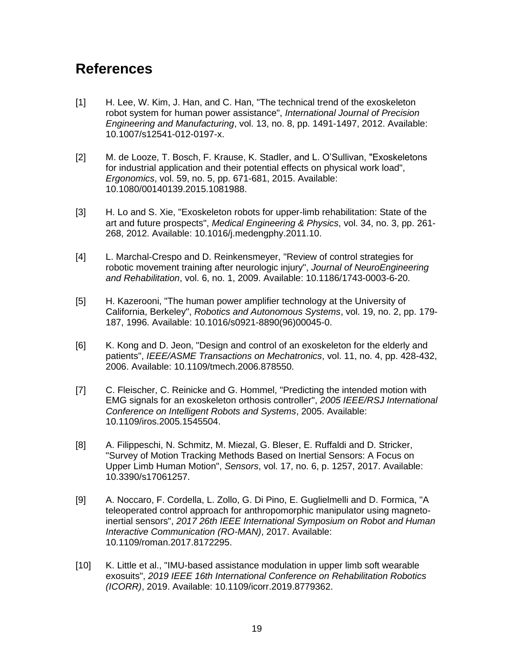## <span id="page-30-0"></span>**References**

- [1] H. Lee, W. Kim, J. Han, and C. Han, "The technical trend of the exoskeleton robot system for human power assistance", *International Journal of Precision Engineering and Manufacturing*, vol. 13, no. 8, pp. 1491-1497, 2012. Available: 10.1007/s12541-012-0197-x.
- [2] M. de Looze, T. Bosch, F. Krause, K. Stadler, and L. O'Sullivan, "Exoskeletons for industrial application and their potential effects on physical work load", *Ergonomics*, vol. 59, no. 5, pp. 671-681, 2015. Available: 10.1080/00140139.2015.1081988.
- [3] H. Lo and S. Xie, "Exoskeleton robots for upper-limb rehabilitation: State of the art and future prospects", *Medical Engineering & Physics*, vol. 34, no. 3, pp. 261- 268, 2012. Available: 10.1016/j.medengphy.2011.10.
- [4] L. Marchal-Crespo and D. Reinkensmeyer, "Review of control strategies for robotic movement training after neurologic injury", *Journal of NeuroEngineering and Rehabilitation*, vol. 6, no. 1, 2009. Available: 10.1186/1743-0003-6-20.
- [5] H. Kazerooni, "The human power amplifier technology at the University of California, Berkeley", *Robotics and Autonomous Systems*, vol. 19, no. 2, pp. 179- 187, 1996. Available: 10.1016/s0921-8890(96)00045-0.
- [6] K. Kong and D. Jeon, "Design and control of an exoskeleton for the elderly and patients", *IEEE/ASME Transactions on Mechatronics*, vol. 11, no. 4, pp. 428-432, 2006. Available: 10.1109/tmech.2006.878550.
- [7] C. Fleischer, C. Reinicke and G. Hommel, "Predicting the intended motion with EMG signals for an exoskeleton orthosis controller", *2005 IEEE/RSJ International Conference on Intelligent Robots and Systems*, 2005. Available: 10.1109/iros.2005.1545504.
- [8] A. Filippeschi, N. Schmitz, M. Miezal, G. Bleser, E. Ruffaldi and D. Stricker, "Survey of Motion Tracking Methods Based on Inertial Sensors: A Focus on Upper Limb Human Motion", *Sensors*, vol. 17, no. 6, p. 1257, 2017. Available: 10.3390/s17061257.
- [9] A. Noccaro, F. Cordella, L. Zollo, G. Di Pino, E. Guglielmelli and D. Formica, "A teleoperated control approach for anthropomorphic manipulator using magnetoinertial sensors", *2017 26th IEEE International Symposium on Robot and Human Interactive Communication (RO-MAN)*, 2017. Available: 10.1109/roman.2017.8172295.
- [10] K. Little et al., "IMU-based assistance modulation in upper limb soft wearable exosuits", *2019 IEEE 16th International Conference on Rehabilitation Robotics (ICORR)*, 2019. Available: 10.1109/icorr.2019.8779362.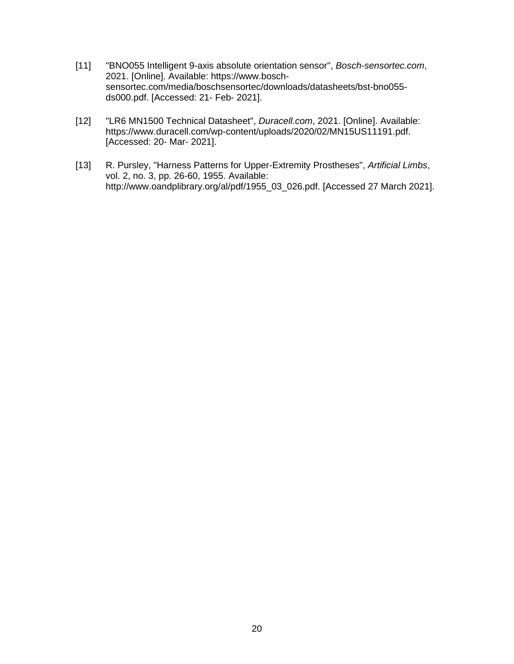- [11] "BNO055 Intelligent 9-axis absolute orientation sensor", *Bosch-sensortec.com*, 2021. [Online]. Available: https://www.boschsensortec.com/media/boschsensortec/downloads/datasheets/bst-bno055 ds000.pdf. [Accessed: 21- Feb- 2021].
- [12] "LR6 MN1500 Technical Datasheet", *Duracell.com*, 2021. [Online]. Available: https://www.duracell.com/wp-content/uploads/2020/02/MN15US11191.pdf. [Accessed: 20- Mar- 2021].
- [13] R. Pursley, "Harness Patterns for Upper-Extremity Prostheses", *Artificial Limbs*, vol. 2, no. 3, pp. 26-60, 1955. Available: http://www.oandplibrary.org/al/pdf/1955\_03\_026.pdf. [Accessed 27 March 2021].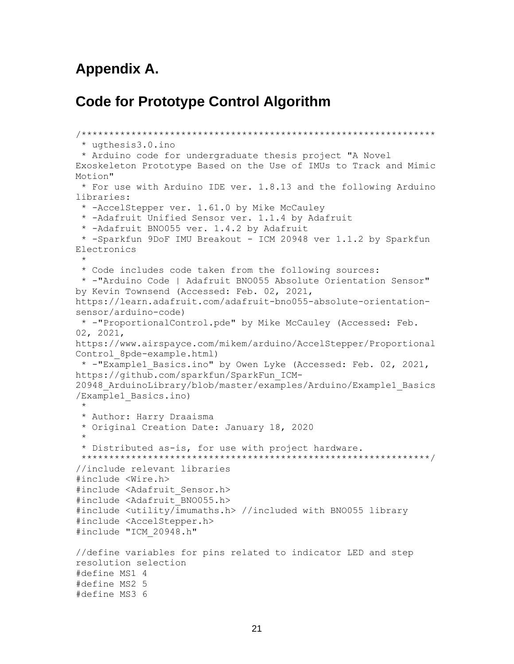### <span id="page-32-0"></span>**Appendix A.**

### **Code for Prototype Control Algorithm**

```
/****************************************************************
 * ugthesis3.0.ino
 * Arduino code for undergraduate thesis project "A Novel 
Exoskeleton Prototype Based on the Use of IMUs to Track and Mimic 
Motion"
* For use with Arduino IDE ver. 1.8.13 and the following Arduino 
libraries:
 * -AccelStepper ver. 1.61.0 by Mike McCauley 
 * -Adafruit Unified Sensor ver. 1.1.4 by Adafruit
 * -Adafruit BNO055 ver. 1.4.2 by Adafruit 
 * -Sparkfun 9DoF IMU Breakout - ICM 20948 ver 1.1.2 by Sparkfun 
Electronics
 * 
 * Code includes code taken from the following sources:
* -"Arduino Code | Adafruit BNO055 Absolute Orientation Sensor" 
by Kevin Townsend (Accessed: Feb. 02, 2021, 
https://learn.adafruit.com/adafruit-bno055-absolute-orientation-
sensor/arduino-code)
* -"ProportionalControl.pde" by Mike McCauley (Accessed: Feb. 
02, 2021, 
https://www.airspayce.com/mikem/arduino/AccelStepper/Proportional
Control_8pde-example.html)
* -"Example1_Basics.ino" by Owen Lyke (Accessed: Feb. 02, 2021, 
https://github.com/sparkfun/SparkFun_ICM-
20948_ArduinoLibrary/blob/master/examples/Arduino/Example1_Basics
/Example1_Basics.ino)
 * 
 * Author: Harry Draaisma
 * Original Creation Date: January 18, 2020
 * 
 * Distributed as-is, for use with project hardware. 
 ***************************************************************/
//include relevant libraries
#include <Wire.h>
#include <Adafruit_Sensor.h>
#include <Adafruit_BNO055.h>
#include <utility/imumaths.h> //included with BNO055 library
#include <AccelStepper.h>
#include "ICM_20948.h"
//define variables for pins related to indicator LED and step 
resolution selection
#define MS1 4
#define MS2 5
#define MS3 6
```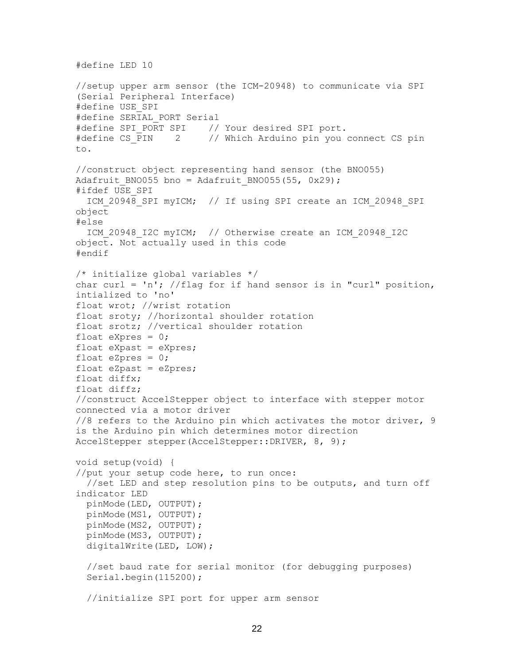```
//setup upper arm sensor (the ICM-20948) to communicate via SPI 
(Serial Peripheral Interface)
#define USE_SPI
#define SERIAL_PORT Serial
#define SPI_PORT SPI // Your desired SPI port.
#define CS_PIN 2 // Which Arduino pin you connect CS pin
to.
//construct object representing hand sensor (the BNO055)
Adafruit BNO055 bno = Adafruit BNO055(55, 0x29);
#ifdef USE_SPI
  ICM 20948 SPI myICM; // If using SPI create an ICM 20948 SPI
object
#else
   ICM_20948_I2C myICM; // Otherwise create an ICM_20948_I2C 
object. Not actually used in this code
#endif
/* initialize global variables */
char curl = 'n'; //flag for if hand sensor is in "curl" position,
intialized to 'no'
float wrot; //wrist rotation
float sroty; //horizontal shoulder rotation
float srotz; //vertical shoulder rotation
float eXpres = 0;
float eXpast = eXpres;
float eZpres = 0;float eZpast = eZpres;
float diffx;
float diffz;
//construct AccelStepper object to interface with stepper motor 
connected via a motor driver
//8 refers to the Arduino pin which activates the motor driver, 9 
is the Arduino pin which determines motor direction
AccelStepper stepper(AccelStepper::DRIVER, 8, 9);
void setup(void) {
//put your setup code here, to run once:
  //set LED and step resolution pins to be outputs, and turn off
indicator LED
   pinMode(LED, OUTPUT);
  pinMode(MS1, OUTPUT);
  pinMode(MS2, OUTPUT);
   pinMode(MS3, OUTPUT);
   digitalWrite(LED, LOW);
   //set baud rate for serial monitor (for debugging purposes)
   Serial.begin(115200);
   //initialize SPI port for upper arm sensor
```
#define LED 10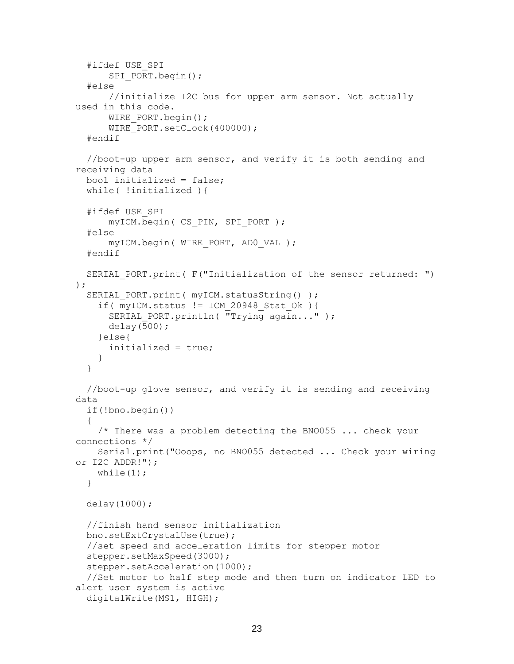```
 #ifdef USE_SPI
      SPI_PORT.begin();
   #else
       //initialize I2C bus for upper arm sensor. Not actually 
used in this code.
      WIRE PORT.begin();
      WIRE PORT.setClock(400000);
   #endif
   //boot-up upper arm sensor, and verify it is both sending and 
receiving data
   bool initialized = false;
   while( !initialized ){
   #ifdef USE_SPI
       myICM.begin( CS_PIN, SPI_PORT ); 
   #else
      myICM.begin( WIRE PORT, ADO VAL );
   #endif
  SERIAL PORT.print( F("Initialization of the sensor returned: ")
);
  SERIAL PORT.print( myICM.statusString() );
    if( myICM.status != ICM 20948 Stat Ok ){
      SERIAL PORT.println( "Trying again..." );
       delay(500);
     }else{
       initialized = true;
     }
   }
   //boot-up glove sensor, and verify it is sending and receiving 
data
   if(!bno.begin())
   {
    /* There was a problem detecting the BNO055 ... check your
connections */
     Serial.print("Ooops, no BNO055 detected ... Check your wiring 
or I2C ADDR!");
    while(1);
   }
   delay(1000);
   //finish hand sensor initialization 
   bno.setExtCrystalUse(true);
   //set speed and acceleration limits for stepper motor
   stepper.setMaxSpeed(3000);
   stepper.setAcceleration(1000);
   //Set motor to half step mode and then turn on indicator LED to 
alert user system is active
   digitalWrite(MS1, HIGH);
```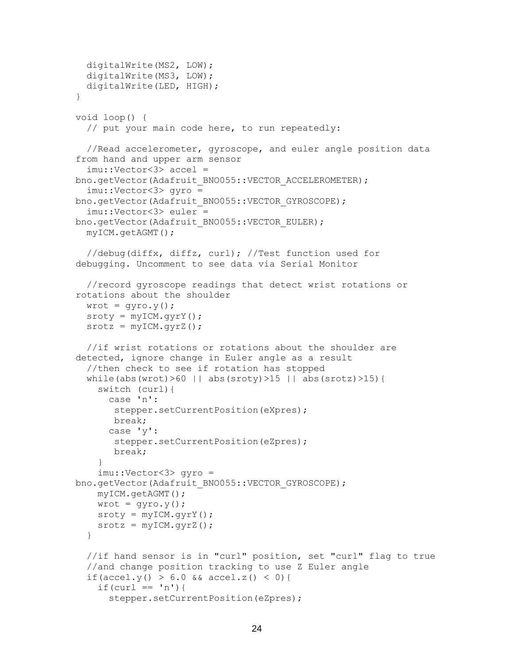```
 digitalWrite(MS2, LOW);
   digitalWrite(MS3, LOW);
   digitalWrite(LED, HIGH);
}
void loop() {
   // put your main code here, to run repeatedly:
   //Read accelerometer, gyroscope, and euler angle position data 
from hand and upper arm sensor
   imu::Vector<3> accel = 
bno.getVector(Adafruit BNO055::VECTOR ACCELEROMETER);
   imu::Vector<3> gyro = 
bno.getVector(Adafruit BNO055::VECTOR GYROSCOPE);
   imu::Vector<3> euler = 
bno.getVector(Adafruit BNO055::VECTOR EULER);
   myICM.getAGMT();
   //debug(diffx, diffz, curl); //Test function used for 
debugging. Uncomment to see data via Serial Monitor
   //record gyroscope readings that detect wrist rotations or 
rotations about the shoulder
  wrot = qyro.y();
  sroty = myICM.gyrY();
  \texttt{srcdz} = \texttt{myICM}.\texttt{gyrZ}() ;
   //if wrist rotations or rotations about the shoulder are 
detected, ignore change in Euler angle as a result
   //then check to see if rotation has stopped
  while(abs(wrot)>60 || abs(sroty)>15 || abs(srotz)>15){
     switch (curl){
       case 'n':
        stepper.setCurrentPosition(eXpres);
        break;
       case 'y':
       stepper.setCurrentPosition(eZpres);
        break;
     }
     imu::Vector<3> gyro = 
bno.getVector(Adafruit BNO055::VECTOR GYROSCOPE);
     myICM.getAGMT();
    wrot = qyco.y();
    sroty = myICM.gyrY();
    stock = myICM.gyrZ();
   }
   //if hand sensor is in "curl" position, set "curl" flag to true
   //and change position tracking to use Z Euler angle
  if(accel.y() > 6.0 && accel.z() < 0){
    if(curl == 'n')stepper.setCurrentPosition(eZpres);
```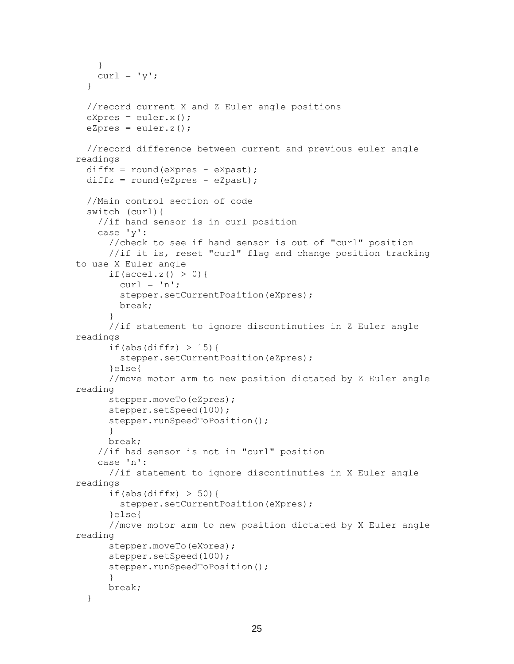```
 }
   curl = 'y';
   }
   //record current X and Z Euler angle positions
  eXpres = euler.x();
  eZpres = euler.z(); //record difference between current and previous euler angle 
readings
 diffx = round(eXpres - eXpast);diffz = round(eZpres - eZpast); //Main control section of code
  switch (curl){
     //if hand sensor is in curl position
     case 'y':
       //check to see if hand sensor is out of "curl" position
       //if it is, reset "curl" flag and change position tracking 
to use X Euler angle
      if(accel.z() > 0){
        curl = 'n'; stepper.setCurrentPosition(eXpres);
        break;
       }
       //if statement to ignore discontinuties in Z Euler angle 
readings
      if(abs(diffz) > 15){
        stepper.setCurrentPosition(eZpres);
       }else{
       //move motor arm to new position dictated by Z Euler angle 
reading
       stepper.moveTo(eZpres);
       stepper.setSpeed(100);
       stepper.runSpeedToPosition();
       }
      break;
     //if had sensor is not in "curl" position
     case 'n':
       //if statement to ignore discontinuties in X Euler angle 
readings
      if(abs(diffx) > 50){
        stepper.setCurrentPosition(eXpres);
       }else{
       //move motor arm to new position dictated by X Euler angle 
reading
       stepper.moveTo(eXpres);
       stepper.setSpeed(100);
      stepper.runSpeedToPosition();
       }
       break;
   }
```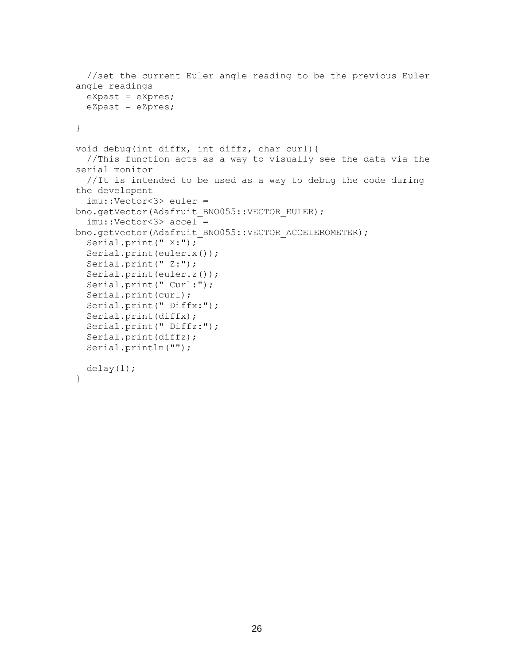```
 //set the current Euler angle reading to be the previous Euler 
angle readings
   eXpast = eXpres;
   eZpast = eZpres;
}
void debug(int diffx, int diffz, char curl){
   //This function acts as a way to visually see the data via the 
serial monitor
   //It is intended to be used as a way to debug the code during 
the developent
   imu::Vector<3> euler = 
bno.getVector(Adafruit BNO055::VECTOR EULER);
   imu::Vector<3> accel = 
bno.getVector(Adafruit BNO055::VECTOR ACCELEROMETER);
   Serial.print(" X:");
   Serial.print(euler.x());
  Serial.print(" Z:");
   Serial.print(euler.z());
   Serial.print(" Curl:");
   Serial.print(curl);
   Serial.print(" Diffx:");
   Serial.print(diffx);
   Serial.print(" Diffz:");
   Serial.print(diffz);
   Serial.println("");
   delay(1);
}
```